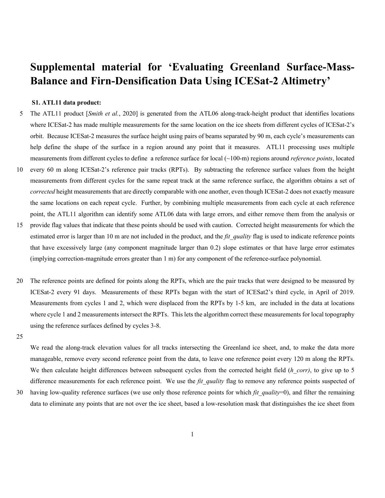## **Supplemental material for 'Evaluating Greenland Surface-Mass-Balance and Firn-Densification Data Using ICESat-2 Altimetry'**

## **S1. ATL11 data product:**

- 5 The ATL11 product [*Smith et al.*, 2020] is generated from the ATL06 along-track-height product that identifies locations where ICESat-2 has made multiple measurements for the same location on the ice sheets from different cycles of ICESat-2's orbit. Because ICESat-2 measures the surface height using pairs of beams separated by 90 m, each cycle's measurements can help define the shape of the surface in a region around any point that it measures. ATL11 processing uses multiple measurements from different cycles to define a reference surface for local (~100-m) regions around *reference points*, located
- 10 every 60 m along ICESat-2's reference pair tracks (RPTs). By subtracting the reference surface values from the height measurements from different cycles for the same repeat track at the same reference surface, the algorithm obtains a set of *corrected* height measurements that are directly comparable with one another, even though ICESat-2 does not exactly measure the same locations on each repeat cycle. Further, by combining multiple measurements from each cycle at each reference point, the ATL11 algorithm can identify some ATL06 data with large errors, and either remove them from the analysis or
- 15 provide flag values that indicate that these points should be used with caution. Corrected height measurements for which the estimated error is larger than 10 m are not included in the product, and the *fit* quality flag is used to indicate reference points that have excessively large (any component magnitude larger than 0.2) slope estimates or that have large error estimates (implying correction-magnitude errors greater than 1 m) for any component of the reference-surface polynomial.
- 20 The reference points are defined for points along the RPTs, which are the pair tracks that were designed to be measured by ICESat-2 every 91 days. Measurements of these RPTs began with the start of ICESat2's third cycle, in April of 2019. Measurements from cycles 1 and 2, which were displaced from the RPTs by 1-5 km, are included in the data at locations where cycle 1 and 2 measurements intersect the RPTs. This lets the algorithm correct these measurements for local topography using the reference surfaces defined by cycles 3-8.

25

We read the along-track elevation values for all tracks intersecting the Greenland ice sheet, and, to make the data more manageable, remove every second reference point from the data, to leave one reference point every 120 m along the RPTs. We then calculate height differences between subsequent cycles from the corrected height field (*h corr)*, to give up to 5 difference measurements for each reference point. We use the *fit quality* flag to remove any reference points suspected of

30 having low-quality reference surfaces (we use only those reference points for which *fit\_quality*=0), and filter the remaining data to eliminate any points that are not over the ice sheet, based a low-resolution mask that distinguishes the ice sheet from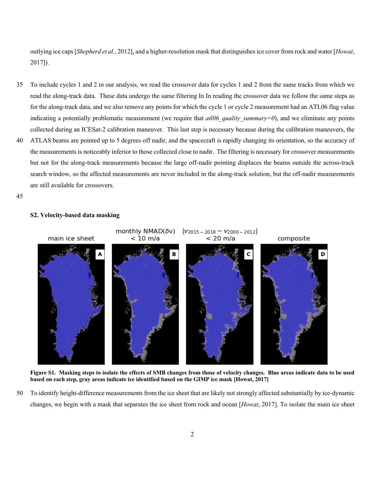outlying ice caps [*Shepherd et al.*, 2012], and a higher-resolution mask that distinguishes ice cover from rock and water [*Howat*, 2017]).

- 35 To include cycles 1 and 2 in our analysis, we read the crossover data for cycles 1 and 2 from the same tracks from which we read the along-track data. These data undergo the same filtering In In reading the crossover data we follow the same steps as for the along-track data, and we also remove any points for which the cycle 1 or cycle 2 measurement had an ATL06 flag value indicating a potentially problematic measurement (we require that *atl06 quality summary=0*), and we eliminate any points collected during an ICESat-2 calibration maneuver. This last step is necessary because during the calibration maneuvers, the
- 40 ATLAS beams are pointed up to 5 degrees off nadir, and the spacecraft is rapidly changing its orientation, so the accuracy of the measurements is noticeably inferior to those collected close to nadir. The filtering is necessary for crossover measurements but not for the along-track measurements because the large off-nadir pointing displaces the beams outside the across-track search window, so the affected measurements are never included in the along-track solution, but the off-nadir measurements are still available for crossovers.
- 45



## **S2. Velocity-based data masking**

**Figure S1. Masking steps to isolate the effects of SMB changes from those of velocity changes. Blue areas indicate data to be used based on each step, gray areas indicate ice identified based on the GIMP ice mask [Howat, 2017]**

50 To identify height-difference measurements from the ice sheet that are likely not strongly affected substantially by ice-dynamic changes, we begin with a mask that separates the ice sheet from rock and ocean [*Howat*, 2017]. To isolate the main ice sheet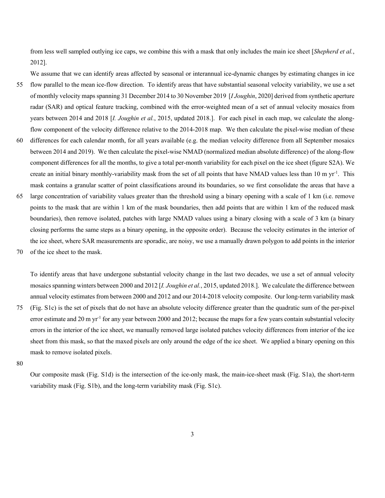from less well sampled outlying ice caps, we combine this with a mask that only includes the main ice sheet [*Shepherd et al.*, 2012].

We assume that we can identify areas affected by seasonal or interannual ice-dynamic changes by estimating changes in ice

- 55 flow parallel to the mean ice-flow direction. To identify areas that have substantial seasonal velocity variability, we use a set of monthly velocity maps spanning 31 December 2014 to 30 November 2019 [*I Joughin*, 2020] derived from synthetic aperture radar (SAR) and optical feature tracking, combined with the error-weighted mean of a set of annual velocity mosaics from years between 2014 and 2018 [*I. Joughin et al.*, 2015, updated 2018.]. For each pixel in each map, we calculate the alongflow component of the velocity difference relative to the 2014-2018 map. We then calculate the pixel-wise median of these
- 60 differences for each calendar month, for all years available (e.g. the median velocity difference from all September mosaics between 2014 and 2019). We then calculate the pixel-wise NMAD (normalized median absolute difference) of the along-flow component differences for all the months, to give a total per-month variability for each pixel on the ice sheet (figure S2A). We create an initial binary monthly-variability mask from the set of all points that have NMAD values less than 10 m yr<sup>-1</sup>. This mask contains a granular scatter of point classifications around its boundaries, so we first consolidate the areas that have a
- 65 large concentration of variability values greater than the threshold using a binary opening with a scale of 1 km (i.e. remove points to the mask that are within 1 km of the mask boundaries, then add points that are within 1 km of the reduced mask boundaries), then remove isolated, patches with large NMAD values using a binary closing with a scale of 3 km (a binary closing performs the same steps as a binary opening, in the opposite order). Because the velocity estimates in the interior of the ice sheet, where SAR measurements are sporadic, are noisy, we use a manually drawn polygon to add points in the interior
- 70 of the ice sheet to the mask.

To identify areas that have undergone substantial velocity change in the last two decades, we use a set of annual velocity mosaics spanning winters between 2000 and 2012 [*I. Joughin et al.*, 2015, updated 2018.]. We calculate the difference between annual velocity estimates from between 2000 and 2012 and our 2014-2018 velocity composite. Our long-term variability mask

- 75 (Fig. S1c) is the set of pixels that do not have an absolute velocity difference greater than the quadratic sum of the per-pixel error estimate and 20 m  $yr^{-1}$  for any year between 2000 and 2012; because the maps for a few years contain substantial velocity errors in the interior of the ice sheet, we manually removed large isolated patches velocity differences from interior of the ice sheet from this mask, so that the maxed pixels are only around the edge of the ice sheet. We applied a binary opening on this mask to remove isolated pixels.
- 80

Our composite mask (Fig. S1d) is the intersection of the ice-only mask, the main-ice-sheet mask (Fig. S1a), the short-term variability mask (Fig. S1b), and the long-term variability mask (Fig. S1c).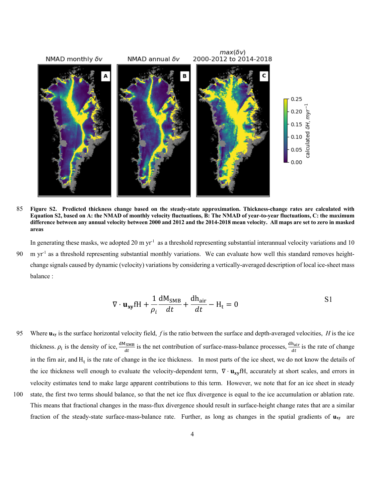

85 **Figure S2. Predicted thickness change based on the steady-state approximation. Thickness-change rates are calculated with Equation S2, based on A: the NMAD of monthly velocity fluctuations, B: The NMAD of year-to-year fluctuations, C: the maximum difference between any annual velocity between 2000 and 2012 and the 2014-2018 mean velocity. All maps are set to zero in masked areas**

In generating these masks, we adopted 20 m yr<sup>-1</sup> as a threshold representing substantial interannual velocity variations and 10 90 m yr<sup>-1</sup> as a threshold representing substantial monthly variations. We can evaluate how well this standard removes heightchange signals caused by dynamic (velocity) variations by considering a vertically-averaged description of local ice-sheet mass balance :

$$
\nabla \cdot \mathbf{u}_{xy} fH + \frac{1}{\rho_i} \frac{dM_{SMB}}{dt} + \frac{dh_{air}}{dt} - H_t = 0
$$

95 Where **uxy** is the surface horizontal velocity field, *f* is the ratio between the surface and depth-averaged velocities, *H* is the ice thickness.  $\rho_i$  is the density of ice,  $\frac{dM_{SMB}}{dt}$  is the net contribution of surface-mass-balance processes,  $\frac{dh_{air}}{dt}$  is the rate of change in the firn air, and  $H_t$  is the rate of change in the ice thickness. In most parts of the ice sheet, we do not know the details of the ice thickness well enough to evaluate the velocity-dependent term,  $\nabla \cdot \mathbf{u_{xy}}$ fH, accurately at short scales, and errors in velocity estimates tend to make large apparent contributions to this term. However, we note that for an ice sheet in steady

100 state, the first two terms should balance, so that the net ice flux divergence is equal to the ice accumulation or ablation rate. This means that fractional changes in the mass-flux divergence should result in surface-height change rates that are a similar fraction of the steady-state surface-mass-balance rate. Further, as long as changes in the spatial gradients of **uxy** are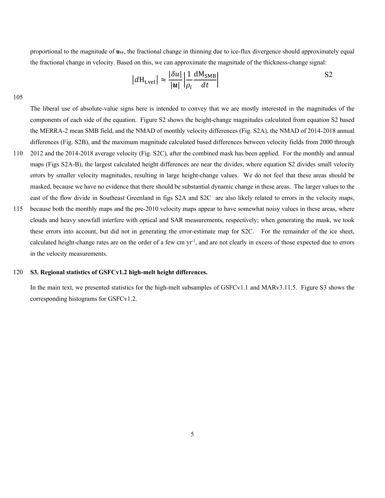proportional to the magnitude of **uxy**, the fractional change in thinning due to ice-flux divergence should approximately equal the fractional change in velocity. Based on this, we can approximate the magnitude of the thickness-change signal:

$$
|d\mathbf{H}_{\text{t,vel}}| \approx \frac{|\delta u|}{|\mathbf{u}|} \left| \frac{1}{\rho_i} \frac{d\mathbf{M}_{\text{SMB}}}{dt} \right|
$$

105

The liberal use of absolute-value signs here is intended to convey that we are mostly interested in the magnitudes of the components of each side of the equation. Figure S2 shows the height-change magnitudes calculated from equation S2 based the MERRA-2 mean SMB field, and the NMAD of monthly velocity differences (Fig. S2A), the NMAD of 2014-2018 annual differences (Fig. S2B), and the maximum magnitude calculated based differences between velocity fields from 2000 through

- 110 2012 and the 2014-2018 average velocity (Fig. S2C), after the combined mask has been applied. For the monthly and annual maps (Figs S2A-B), the largest calculated height differences are near the divides, where equation S2 divides small velocity errors by smaller velocity magnitudes, resulting in large height-change values. We do not feel that these areas should be masked, because we have no evidence that there should be substantial dynamic change in these areas. The larger values to the east of the flow divide in Southeast Greenland in figs S2A and S2C are also likely related to errors in the velocity maps,
- 115 because both the monthly maps and the pre-2010 velocity maps appear to have somewhat noisy values in these areas, where clouds and heavy snowfall interfere with optical and SAR measurements, respectively; when generating the mask, we took these errors into account, but did not in generating the error-estimate map for S2C. For the remainder of the ice sheet, calculated height-change rates are on the order of a few cm yr<sup>-1</sup>, and are not clearly in excess of those expected due to errors in the velocity measurements.

## 120 **S3. Regional statistics of GSFCv1.2 high-melt height differences.**

In the main text, we presented statistics for the high-melt subsamples of GSFCv1.1 and MARv3.11.5. Figure S3 shows the corresponding histograms for GSFCv1.2.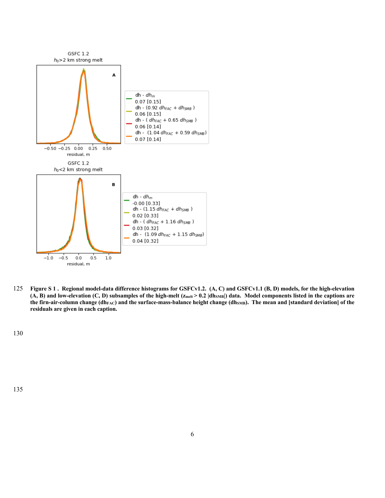

125 **Figure S 1 . Regional model-data difference histograms for GSFCv1.2. (A, C) and GSFCv1.1 (B, D) models, for the high-elevation**  (A, B) and low-elevation (C, D) subsamples of the high-melt (z<sub>melt</sub> > 0.2 |dh<sub>SMB</sub>|) data. Model components listed in the captions are the firn-air-column change (dh<sub>FAC</sub>) and the surface-mass-balance height change (dh<sub>SMB</sub>). The mean and [standard deviation] of the **residuals are given in each caption.**

130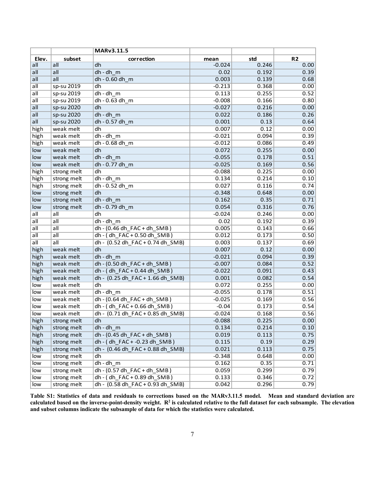|                           |                            | MARv3.11.5                       |          |       |                |
|---------------------------|----------------------------|----------------------------------|----------|-------|----------------|
| Elev.                     | subset                     | correction                       | mean     | std   | R <sub>2</sub> |
| all                       | all                        | dh                               | $-0.024$ | 0.246 | 0.00           |
| all                       | all                        | dh-dh m                          | 0.02     | 0.192 | 0.39           |
| all                       | all                        | dh - 0.60 dh m                   | 0.003    | 0.139 | 0.68           |
| $a$ II                    | sp-su 2019                 | dh                               | $-0.213$ | 0.368 | 0.00           |
| $\overline{\mathsf{all}}$ | sp-su 2019                 | $dh - dh$ <sub>m</sub>           | 0.113    | 0.255 | 0.52           |
| all                       | sp-su 2019                 | $dh - 0.63 dh$ <sub>_</sub> m    | $-0.008$ | 0.166 | 0.80           |
| all                       | sp-su 2020                 | dh                               | $-0.027$ | 0.216 | 0.00           |
| all                       | sp-su 2020                 | dh - dh_m                        | 0.022    | 0.186 | 0.26           |
| all                       | sp-su 2020                 | dh - 0.57 dh m                   | 0.001    | 0.13  | 0.64           |
| high                      | weak melt                  | dh                               | 0.007    | 0.12  | 0.00           |
| high                      | weak melt                  | $dh - dh$ <sub>m</sub>           | $-0.021$ | 0.094 | 0.39           |
| high                      | weak melt                  | dh - 0.68 dh_m                   | $-0.012$ | 0.086 | 0.49           |
| low                       | weak melt                  | dh                               | 0.072    | 0.255 | 0.00           |
| low                       | weak melt                  | $dh - dh$ m                      | $-0.055$ | 0.178 | 0.51           |
| low                       | weak melt                  | dh - 0.77 dh m                   | $-0.025$ | 0.169 | 0.56           |
| high                      | strong melt                | dh                               | $-0.088$ | 0.225 | 0.00           |
| high                      | strong melt                | $dh - dh$ m                      | 0.134    | 0.214 | 0.10           |
| high                      | strong melt                | dh - 0.52 dh_m                   | 0.027    | 0.116 | 0.74           |
| low                       | strong melt                | dh                               | $-0.348$ | 0.648 | 0.00           |
| low                       | strong melt                | dh-dh m                          | 0.162    | 0.35  | 0.71           |
| low                       | strong melt                | dh - 0.79 dh m                   | 0.054    | 0.316 | 0.76           |
| all                       | all                        | dh                               | $-0.024$ | 0.246 | 0.00           |
| all                       | $\overline{\mathsf{all}}$  | $dh - dh$ m                      | 0.02     | 0.192 | 0.39           |
| $\overline{\mathsf{all}}$ | $\overline{\mathsf{all}}$  | dh - (0.46 dh FAC + dh SMB)      | 0.005    | 0.143 | 0.66           |
| $\overline{\mathsf{all}}$ | all                        | dh - (dh FAC + 0.50 dh SMB)      | 0.012    | 0.173 | 0.50           |
| all                       | all                        | dh - (0.52 dh FAC + 0.74 dh SMB) | 0.003    | 0.137 | 0.69           |
| high                      | weak melt                  | dh                               | 0.007    | 0.12  | 0.00           |
| high                      | weak melt                  | dh-dh m                          | $-0.021$ | 0.094 | 0.39           |
| high                      | weak melt                  | dh - (0.50 dh FAC + dh SMB)      | $-0.007$ | 0.084 | 0.52           |
| high                      | weak melt                  | dh - (dh FAC + 0.44 dh SMB)      | $-0.022$ | 0.091 | 0.43           |
| high                      | weak melt                  | dh - (0.25 dh_FAC + 1.66 dh_SMB) | 0.001    | 0.082 | 0.54           |
| low                       | weak melt                  | dh                               | 0.072    | 0.255 | 0.00           |
| low                       | weak melt                  | $dh - dh$ m                      | $-0.055$ | 0.178 | 0.51           |
| low                       | weak melt                  | dh - (0.64 dh_FAC + dh_SMB)      | $-0.025$ | 0.169 | 0.56           |
| low                       | weak melt                  | dh - (dh_FAC + 0.66 dh_SMB)      | $-0.04$  | 0.173 | 0.54           |
| low                       | weak melt                  | dh - (0.71 dh_FAC + 0.85 dh_SMB) | $-0.024$ | 0.168 | 0.56           |
| high                      | strong melt                | dh                               | $-0.088$ | 0.225 | 0.00           |
| high                      | strong melt                | dh-dh m                          | 0.134    | 0.214 | 0.10           |
| high                      | strong melt                | dh - (0.45 dh_FAC + dh_SMB)      | 0.019    | 0.113 | 0.75           |
| high                      | strong melt                | dh - (dh_FAC + -0.23 dh_SMB)     | 0.115    | 0.19  | 0.29           |
| high                      | strong melt                | dh - (0.46 dh FAC + 0.88 dh SMB) | 0.021    | 0.113 | 0.75           |
| low                       | strong melt                | dh                               | $-0.348$ | 0.648 | 0.00           |
| low                       | strong melt                | $dh - dh$ m                      | 0.162    | 0.35  | 0.71           |
| low                       |                            | dh - (0.57 dh FAC + dh SMB)      | 0.059    | 0.299 | 0.79           |
| low                       | strong melt<br>strong melt | dh - (dh_FAC + 0.89 dh_SMB)      | 0.133    |       | 0.72           |
|                           |                            |                                  |          | 0.346 |                |
| low                       | strong melt                | dh - (0.58 dh_FAC + 0.93 dh_SMB) | 0.042    | 0.296 | 0.79           |

**Table S1: Statistics of data and residuals to corrections based on the MARv3.11.5 model. Mean and standard deviation are calculated based on the inverse-point-density weight. R2 is calculated relative to the full dataset for each subsample. The elevation and subset columns indicate the subsample of data for which the statistics were calculated.**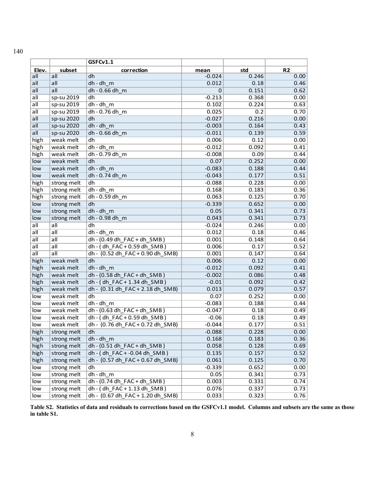|                           |             | GSFCv1.1                         |          |       |                |
|---------------------------|-------------|----------------------------------|----------|-------|----------------|
| Elev.                     | subset      | correction                       | mean     | std   | R <sub>2</sub> |
| all                       | all         | dh                               | $-0.024$ | 0.246 | 0.00           |
| all                       | all         | $dh - dh$ <sub>m</sub>           | 0.012    | 0.18  | 0.46           |
| $\overline{\mathsf{all}}$ | all         | dh - 0.66 dh m                   | 0        | 0.151 | 0.62           |
| all                       | sp-su 2019  | dh                               | $-0.213$ | 0.368 | 0.00           |
| all                       | sp-su 2019  | $dh - dh$ m                      | 0.102    | 0.224 | 0.63           |
| all                       | sp-su 2019  | dh - 0.76 dh m                   | 0.025    | 0.2   | 0.70           |
| all                       | sp-su 2020  | dh                               | $-0.027$ | 0.216 | 0.00           |
| all                       | sp-su 2020  | $dh - dh$ m                      | $-0.003$ | 0.164 | 0.43           |
| all                       | sp-su 2020  | dh - 0.66 dh m                   | $-0.011$ | 0.139 | 0.59           |
| high                      | weak melt   | dh                               | 0.006    | 0.12  | 0.00           |
| high                      | weak melt   | $dh - dh$ m                      | $-0.012$ | 0.092 | 0.41           |
| high                      | weak melt   | dh - 0.79 dh m                   | $-0.008$ | 0.09  | 0.44           |
| low                       | weak melt   | dh                               | 0.07     | 0.252 | 0.00           |
| low                       | weak melt   | $dh - dh$ m                      | $-0.083$ | 0.188 | 0.44           |
| low                       | weak melt   | dh - 0.74 dh_m                   | $-0.043$ | 0.177 | 0.51           |
| high                      | strong melt | dh                               | $-0.088$ | 0.228 | 0.00           |
| high                      | strong melt | $dh - dh$ <sub>m</sub>           | 0.168    | 0.183 | 0.36           |
| high                      | strong melt | dh - 0.59 dh_m                   | 0.063    | 0.125 | 0.70           |
| low                       | strong melt | dh                               | $-0.339$ | 0.652 | 0.00           |
| low                       | strong melt | $dh - dh$ m                      | 0.05     | 0.341 | 0.73           |
| low                       | strong melt | dh - 0.98 dh m                   | 0.043    | 0.341 | 0.73           |
| all                       | all         | dh                               | $-0.024$ | 0.246 | 0.00           |
| all                       | all         | $dh - dh$ m                      | 0.012    | 0.18  | 0.46           |
| all                       | all         | dh - (0.49 dh FAC + dh SMB)      | 0.001    | 0.148 | 0.64           |
| all                       | all         | dh - (dh_FAC + 0.59 dh_SMB)      | 0.006    | 0.17  | 0.52           |
| all                       | all         | dh - (0.52 dh FAC + 0.90 dh SMB) | 0.001    | 0.147 | 0.64           |
| high                      | weak melt   | dh                               | 0.006    | 0.12  | 0.00           |
| high                      | weak melt   | dh-dh m                          | $-0.012$ | 0.092 | 0.41           |
| high                      | weak melt   | dh - (0.58 dh _FAC + dh _SMB)    | $-0.002$ | 0.086 | 0.48           |
| high                      | weak melt   | dh - (dh_FAC + 1.34 dh_SMB)      | $-0.01$  | 0.092 | 0.42           |
| high                      | weak melt   | dh - (0.31 dh_FAC + 2.18 dh_SMB) | 0.013    | 0.079 | 0.57           |
| low                       | weak melt   | dh                               | 0.07     | 0.252 | 0.00           |
| low                       | weak melt   | dh-dh m                          | $-0.083$ | 0.188 | 0.44           |
| low                       | weak melt   | dh - (0.63 dh_FAC + dh_SMB)      | $-0.047$ | 0.18  | 0.49           |
| low                       | weak melt   | dh - (dh_FAC + 0.59 dh_SMB)      | $-0.06$  | 0.18  | 0.49           |
| low                       | weak melt   | dh - (0.76 dh_FAC + 0.72 dh_SMB) | $-0.044$ | 0.177 | 0.51           |
| high                      | strong melt | dh                               | $-0.088$ | 0.228 | 0.00           |
| high                      | strong melt | $dh - dh$ <sub>m</sub>           | 0.168    | 0.183 | 0.36           |
| high                      | strong melt | $dh - (0.51 dh_FAC + dh_SMB)$    | 0.058    | 0.128 | 0.69           |
| high                      | strong melt | dh - (dh_FAC + -0.04 dh_SMB)     | 0.135    | 0.157 | 0.52           |
| high                      | strong melt | dh - (0.57 dh FAC + 0.67 dh SMB) | 0.061    | 0.125 | 0.70           |
| low                       | strong melt | dh                               | $-0.339$ | 0.652 | 0.00           |
| low                       | strong melt | $dh - dh$ m                      | 0.05     | 0.341 | 0.73           |
| low                       | strong melt | dh - (0.74 dh_FAC + dh_SMB)      | 0.003    | 0.331 | 0.74           |
| low                       | strong melt | dh - (dh FAC + 1.13 dh SMB)      | 0.076    | 0.337 | 0.73           |
| low                       | strong melt | dh - (0.67 dh_FAC + 1.20 dh_SMB) | 0.033    | 0.323 | 0.76           |

**Table S2. Statistics of data and residuals to corrections based on the GSFCv1.1 model. Columns and subsets are the same as those in table S1.**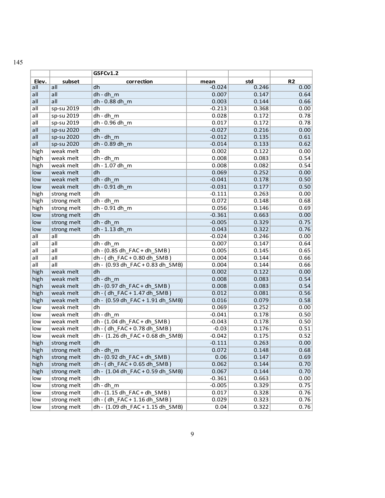|                           |                            | GSFCv1.2                               |          |       |                |
|---------------------------|----------------------------|----------------------------------------|----------|-------|----------------|
| Elev.                     | subset                     | correction                             | mean     | std   | R <sub>2</sub> |
| all                       | all                        | dh                                     | $-0.024$ | 0.246 | 0.00           |
| all                       | all                        | $dh - dh$ <sub>m</sub>                 | 0.007    | 0.147 | 0.64           |
| all                       | all                        | dh - 0.88 dh m                         | 0.003    | 0.144 | 0.66           |
| $\overline{\mathsf{all}}$ | sp-su 2019                 | dh                                     | $-0.213$ | 0.368 | 0.00           |
| all                       | sp-su 2019                 | $dh - dh$ <sub>_m</sub>                | 0.028    | 0.172 | 0.78           |
| all                       | sp-su 2019                 | dh - 0.96 dh m                         | 0.017    | 0.172 | 0.78           |
| all                       | sp-su 2020                 | dh                                     | $-0.027$ | 0.216 | 0.00           |
| all                       | sp-su 2020                 | dh - dh_m                              | $-0.012$ | 0.135 | 0.61           |
| all                       | sp-su 2020                 | dh - 0.89 dh m                         | $-0.014$ | 0.133 | 0.62           |
| high                      | weak melt                  | dh                                     | 0.002    | 0.122 | 0.00           |
| high                      | weak melt                  | dh - dh m                              | 0.008    | 0.083 | 0.54           |
| high                      | weak melt                  | dh - 1.07 dh_m                         | 0.008    | 0.082 | 0.54           |
| low                       | weak melt                  | dh                                     | 0.069    | 0.252 | 0.00           |
| low                       | weak melt                  | $dh - dh$ <sub>m</sub>                 | $-0.041$ | 0.178 | 0.50           |
| low                       | weak melt                  | dh - 0.91 dh_m                         | $-0.031$ | 0.177 | 0.50           |
| high                      | strong melt                | dh                                     | $-0.111$ | 0.263 | 0.00           |
| high                      | strong melt                | $dh - dh$ <sub>_m</sub>                | 0.072    | 0.148 | 0.68           |
| high                      | strong melt                | dh - 0.91 dh m                         | 0.056    | 0.146 | 0.69           |
| low                       | strong melt                | dh                                     | $-0.361$ | 0.663 | 0.00           |
| low                       | strong melt                | $dh - dh$ <sub>m</sub>                 | $-0.005$ | 0.329 | 0.75           |
| low                       | strong melt                | dh - 1.13 dh m                         | 0.043    | 0.322 | 0.76           |
| all                       | all                        | dh                                     | $-0.024$ | 0.246 | 0.00           |
| all                       | $\overline{\mathsf{all}}$  | $dh - dh$ m                            | 0.007    | 0.147 | 0.64           |
| all                       | all                        | dh - (0.85 dh _FAC + dh _SMB)          | 0.005    | 0.145 | 0.65           |
| all                       | all                        | dh - (dh_FAC + 0.80 dh_SMB)            | 0.004    | 0.144 | 0.66           |
| all                       | all                        | dh - (0.93 dh FAC + 0.83 dh SMB)       | 0.004    | 0.144 | 0.66           |
| high                      | weak melt                  | dh                                     | 0.002    | 0.122 | 0.00           |
| high                      | weak melt                  | dh-dh m                                | 0.008    | 0.083 | 0.54           |
| high                      | weak melt                  | $dh - (0.97 dh$ FAC + dh SMB)          | 0.008    | 0.083 | 0.54           |
| high                      | weak melt                  | dh - (dh_FAC + 1.47 dh_SMB)            | 0.012    | 0.081 | 0.56           |
| high                      | weak melt                  | dh - (0.59 dh_FAC + 1.91 dh_SMB)       | 0.016    | 0.079 | 0.58           |
| low                       | weak melt                  | dh                                     | 0.069    | 0.252 | 0.00           |
| low                       | weak melt                  | $dh - dh$ <sub>_m</sub>                | $-0.041$ | 0.178 | 0.50           |
| low                       | weak melt                  | dh - (1.04 dh FAC + dh SMB)            | $-0.043$ | 0.178 | 0.50           |
| low                       | weak melt                  | dh - (dh_FAC + 0.78 dh_SMB)            | $-0.03$  | 0.176 | 0.51           |
| low                       | weak melt                  | dh - (1.26 dh_FAC + 0.68 dh_SMB)       | $-0.042$ | 0.175 | 0.52           |
| high                      | strong melt                | dh                                     | $-0.111$ | 0.263 | 0.00           |
| high                      | strong melt                | $dh - dh$ m                            | 0.072    | 0.148 | 0.68           |
| high                      | strong melt                | $dh - (0.92 dh$ FAC + dh SMB)          | 0.06     | 0.147 | 0.69           |
| high                      | strong melt                | dh - (dh_FAC + 0.65 dh_SMB)            | 0.062    | 0.144 | 0.70           |
| high                      |                            |                                        |          |       |                |
| low                       | strong melt                | dh - (1.04 dh FAC + 0.59 dh SMB)<br>dh | 0.067    | 0.144 | 0.70           |
| low                       | strong melt<br>strong melt | $dh - dh$ <sub>_m</sub>                | $-0.361$ | 0.663 | 0.00           |
|                           |                            | dh - (1.15 dh _FAC + dh _SMB)          | $-0.005$ | 0.329 | 0.75<br>0.76   |
| low                       | strong melt<br>strong melt | dh - (dh FAC + 1.16 dh SMB)            | 0.017    | 0.328 |                |
| low                       |                            |                                        | 0.029    | 0.323 | 0.76           |
| low                       | strong melt                | dh - (1.09 dh FAC + 1.15 dh SMB)       | 0.04     | 0.322 | 0.76           |

145